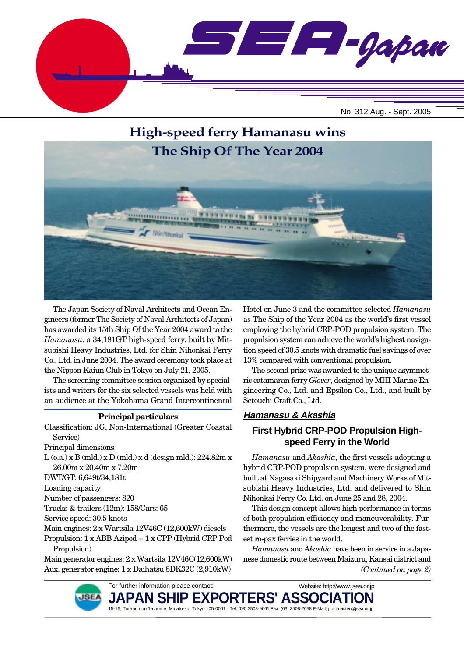



The Japan Society of Naval Architects and Ocean Engineers (former The Society of Naval Architects of Japan) has awarded its 15th Ship Of the Year 2004 award to the *Hamanasu*, a 34,181GT high-speed ferry, built by Mitsubishi Heavy Industries, Ltd. for Shin Nihonkai Ferry Co., Ltd. in June 2004. The award ceremony took place at the Nippon Kaiun Club in Tokyo on July 21, 2005.

The screening committee session organized by specialists and writers for the six selected vessels was held with an audience at the Yokohama Grand Intercontinental

#### **Principal particulars**

Classification: JG, Non-International (Greater Coastal Service)

Principal dimensions

L (o.a.) x B (mld.) x D (mld.) x d (design mld.): 224.82m x 26.00m x 20.40m x 7.20m

DWT/GT: 6,649t/34,181t

Loading capacity

Number of passengers: 820

Trucks & trailers (12m): 158/Cars: 65

Service speed: 30.5 knots

Main engines: 2 x Wartsila 12V46C (12,600kW) diesels

Propulsion: 1 x ABB Azipod + 1 x CPP (Hybrid CRP Pod Propulsion)

Main generator engines: 2 x Wartsila 12V46C(12,600kW) Aux. generator engine: 1 x Daihatsu 8DK32C (2,910kW)

Hotel on June 3 and the committee selected *Hamanasu* as The Ship of the Year 2004 as the world's first vessel employing the hybrid CRP-POD propulsion system. The propulsion system can achieve the world's highest navigation speed of 30.5 knots with dramatic fuel savings of over 13% compared with conventional propulsion.

The second prize was awarded to the unique asymmetric catamaran ferry *Glover*, designed by MHI Marine Engineering Co., Ltd. and Epsilon Co., Ltd., and built by Setouchi Craft Co., Ltd.

### **Hamanasu & Akashia**

### **First Hybrid CRP-POD Propulsion Highspeed Ferry in the World**

*Hamanasu* and *Akashia*, the first vessels adopting a hybrid CRP-POD propulsion system, were designed and built at Nagasaki Shipyard and Machinery Works of Mitsubishi Heavy Industries, Ltd. and delivered to Shin Nihonkai Ferry Co. Ltd. on June 25 and 28, 2004.

This design concept allows high performance in terms of both propulsion efficiency and maneuverability. Furthermore, the vessels are the longest and two of the fastest ro-pax ferries in the world.

*(Contnued on page 2) Hamanasu* and *Akashia* have been in service in a Japanese domestic route between Maizuru, Kansai district and

Website: http://www.jsea.or.jp



For further information please contact:

JAPAN SHIP EXPORTERS' ASSO**I** 15-16, Toranomon 1-chome, Minato-ku, Tokyo 105-0001 Tel: (03) 3508-9661 Fax: (03) 3508-2058 E-Mail: postmaster@jsea.or.jp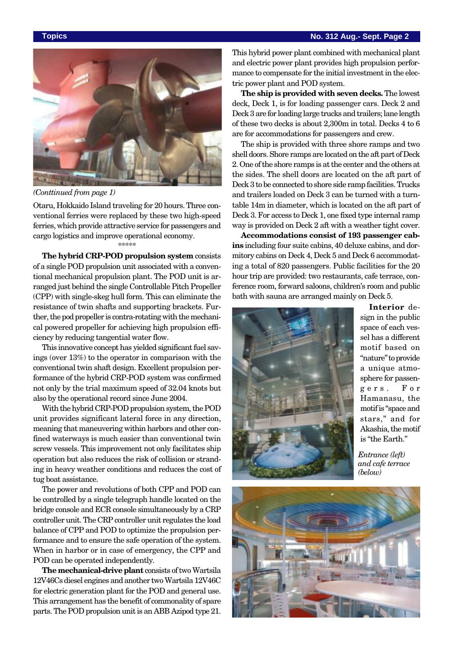#### **Topics No. 312 Aug.- Sept. Page 2**



*(Conttinued from page 1)*

Otaru, Hokkaido Island traveling for 20 hours. Three conventional ferries were replaced by these two high-speed ferries, which provide attractive service for passengers and cargo logistics and improve operational economy. \*\*\*\*\*

**The hybrid CRP-POD propulsion system** consists of a single POD propulsion unit associated with a conventional mechanical propulsion plant. The POD unit is arranged just behind the single Controllable Pitch Propeller (CPP) with single-skeg hull form. This can eliminate the resistance of twin shafts and supporting brackets. Further, the pod propeller is contra-rotating with the mechanical powered propeller for achieving high propulsion efficiency by reducing tangential water flow.

This innovative concept has yielded significant fuel savings (over 13%) to the operator in comparison with the conventional twin shaft design. Excellent propulsion performance of the hybrid CRP-POD system was confirmed not only by the trial maximum speed of 32.04 knots but also by the operational record since June 2004.

With the hybrid CRP-POD propulsion system, the POD unit provides significant lateral force in any direction, meaning that maneuvering within harbors and other confined waterways is much easier than conventional twin screw vessels. This improvement not only facilitates ship operation but also reduces the risk of collision or stranding in heavy weather conditions and reduces the cost of tug boat assistance.

The power and revolutions of both CPP and POD can be controlled by a single telegraph handle located on the bridge console and ECR console simultaneously by a CRP controller unit. The CRP controller unit regulates the load balance of CPP and POD to optimize the propulsion performance and to ensure the safe operation of the system. When in harbor or in case of emergency, the CPP and POD can be operated independently.

**The mechanical-drive plant** consists of two Wartsila 12V46Cs diesel engines and another two Wartsila 12V46C for electric generation plant for the POD and general use. This arrangement has the benefit of commonality of spare parts. The POD propulsion unit is an ABB Azipod type 21.

This hybrid power plant combined with mechanical plant and electric power plant provides high propulsion performance to compensate for the initial investment in the electric power plant and POD system.

**The ship is provided with seven decks.** The lowest deck, Deck 1, is for loading passenger cars. Deck 2 and Deck 3 are for loading large trucks and trailers; lane length of these two decks is about 2,300m in total. Decks 4 to 6 are for accommodations for passengers and crew.

The ship is provided with three shore ramps and two shell doors. Shore ramps are located on the aft part of Deck 2. One of the shore ramps is at the center and the others at the sides. The shell doors are located on the aft part of Deck 3 to be connected to shore side ramp facilities. Trucks and trailers loaded on Deck 3 can be turned with a turntable 14m in diameter, which is located on the aft part of Deck 3. For access to Deck 1, one fixed type internal ramp way is provided on Deck 2 aft with a weather tight cover.

**Accommodations consist of 193 passenger cabins** including four suite cabins, 40 deluxe cabins, and dormitory cabins on Deck 4, Deck 5 and Deck 6 accommodating a total of 820 passengers. Public facilities for the 20 hour trip are provided: two restaurants, cafe terrace, conference room, forward saloons, children's room and public bath with sauna are arranged mainly on Deck 5.



**Interior** design in the public space of each vessel has a different motif based on "nature" to provide a unique atmosphere for passengers. For Hamanasu, the motif is "space and stars," and for Akashia, the motif is "the Earth."

*Entrance (left) and cafe terrace (below)*

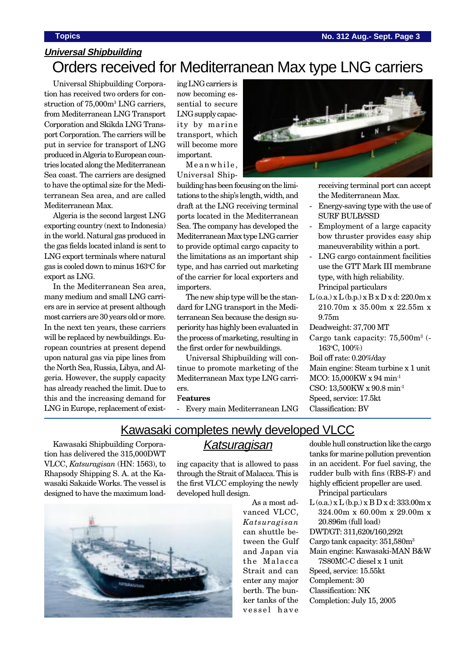# Orders received for Mediterranean Max type LNG carriers **Universal Shipbuilding**

Universal Shipbuilding Corporation has received two orders for construction of  $75,000m^3$  LNG carriers, from Mediterranean LNG Transport Corporation and Skikda LNG Transport Corporation. The carriers will be put in service for transport of LNG produced in Algeria to European countries located along the Mediterranean Sea coast. The carriers are designed to have the optimal size for the Mediterranean Sea area, and are called Mediterranean Max.

Algeria is the second largest LNG exporting country (next to Indonesia) in the world. Natural gas produced in the gas fields located inland is sent to LNG export terminals where natural gas is cooled down to minus 163o C for export as LNG.

In the Mediterranean Sea area, many medium and small LNG carriers are in service at present although most carriers are 30 years old or more. In the next ten years, these carriers will be replaced by newbuildings. European countries at present depend upon natural gas via pipe lines from the North Sea, Russia, Libya, and Algeria. However, the supply capacity has already reached the limit. Due to this and the increasing demand for LNG in Europe, replacement of existing LNG carriers is now becoming essential to secure LNG supply capacity by marine transport, which will become more important.

Meanwhile, Universal Ship-

building has been focusing on the limitations to the ship's length, width, and draft at the LNG receiving terminal ports located in the Mediterranean Sea. The company has developed the Mediterranean Max type LNG carrier to provide optimal cargo capacity to the limitations as an important ship type, and has carried out marketing of the carrier for local exporters and importers.

The new ship type will be the standard for LNG transport in the Mediterranean Sea because the design superiority has highly been evaluated in the process of marketing, resulting in the first order for newbuildings.

Universal Shipbuilding will continue to promote marketing of the Mediterranean Max type LNG carriers.

#### F**eatures**

- Every main Mediterranean LNG

the Mediterranean Max.

- Energy-saving type with the use of SURF BULB/SSD
- Employment of a large capacity bow thruster provides easy ship maneuverability within a port.
- 9.75m

Deadweight: 37,700 MT

- Cargo tank capacity: 75,500m<sup>3</sup> (-163o C, 100%)
- Boil off rate: 0.20%/day
- Main engine: Steam turbine x 1 unit
- 
- Speed, service: 17.5kt

Classification: BV

## Kawasaki completes newly developed VLCC

Kawasaki Shipbuilding Corporation has delivered the 315,000DWT VLCC, *Katsuragisan* (HN: 1563), to Rhapsody Shipping S. A. at the Kawasaki Sakaide Works. The vessel is designed to have the maximum load-

# **Katsuragisan**

ing capacity that is allowed to pass through the Strait of Malacca. This is the first VLCC employing the newly developed hull design.



As a most advanced VLCC, *Katsuragisan* can shuttle between the Gulf and Japan via the Malacca Strait and can enter any major berth. The bunker tanks of the vessel have

double hull construction like the cargo tanks for marine pollution prevention in an accident. For fuel saving, the rudder bulb with fins (RBS-F) and highly efficient propeller are used.

- Principal particulars
- $L$  (o.a.) x  $L$  (b.p.) x  $B$  D x d: 333.00m x 324.00m x 60.00m x 29.00m x 20.896m (full load)
- DWT/GT: 311,620t/160,292t

Cargo tank capacity: 351,580m3

Main engine: Kawasaki-MAN B&W 7S80MC-C diesel x 1 unit

- Speed, service: 15.55kt Complement: 30
- Classification: NK
- Completion: July 15, 2005

receiving terminal port can accept

- 
- 
- LNG cargo containment facilities use the GTT Mark III membrane type, with high reliability. Principal particulars
- $L$  (o.a.)  $x L$  (b.p.)  $x B x D x d$ : 220.0m  $x$ 210.70m x 35.00m x 22.55m x

MCO: 15,000KW x 94 min-1

CSO: 13,500KW x 90.8 min-1

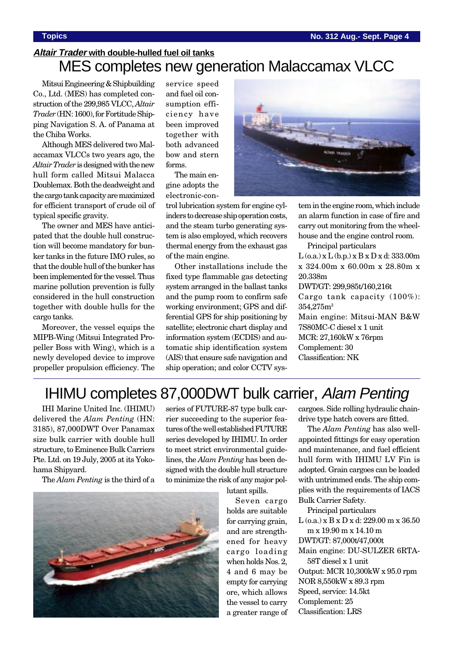# **Altair Trader with double-hulled fuel oil tanks** MES completes new generation Malaccamax VLCC

Mitsui Engineering & Shipbuilding Co., Ltd. (MES) has completed construction of the 299,985 VLCC, *Altair Trader* (HN: 1600), for Fortitude Shipping Navigation S. A. of Panama at the Chiba Works.

Although MES delivered two Malaccamax VLCCs two years ago, the *Altair Trader* is designed with the new hull form called Mitsui Malacca Doublemax. Both the deadweight and the cargo tank capacity are maximized for efficient transport of crude oil of typical specific gravity.

The owner and MES have anticipated that the double hull construction will become mandatory for bunker tanks in the future IMO rules, so that the double hull of the bunker has been implemented for the vessel. Thus marine pollution prevention is fully considered in the hull construction together with double hulls for the cargo tanks.

Moreover, the vessel equips the MIPB-Wing (Mitsui Integrated Propeller Boss with Wing), which is a newly developed device to improve propeller propulsion efficiency. The service speed and fuel oil consumption efficiency have been improved together with both advanced bow and stern forms.

The main engine adopts the electronic-con-

trol lubrication system for engine cylinders to decrease ship operation costs, and the steam turbo generating system is also employed, which recovers thermal energy from the exhaust gas of the main engine.

Other installations include the fixed type flammable gas detecting system arranged in the ballast tanks and the pump room to confirm safe working environment; GPS and differential GPS for ship positioning by satellite; electronic chart display and information system (ECDIS) and automatic ship identification system (AIS) that ensure safe navigation and ship operation; and color CCTV sys-



tem in the engine room, which include an alarm function in case of fire and carry out monitoring from the wheelhouse and the engine control room.

Principal particulars

 $L$  (o.a.)  $x L$  (b.p.)  $x B x D x d$ : 333.00m x 324.00m x 60.00m x 28.80m x 20.338m

DWT/GT: 299,985t/160,216t Cargo tank capacity (100%): 354,275m3 Main engine: Mitsui-MAN B&W 7S80MC-C diesel x 1 unit MCR: 27,160kW x 76rpm Complement: 30 Classification: NK

# IHIMU completes 87,000DWT bulk carrier, Alam Penting

IHI Marine United Inc. (IHIMU) delivered the *Alam Penting* (HN: 3185), 87,000DWT Over Panamax size bulk carrier with double hull structure, to Eminence Bulk Carriers Pte. Ltd. on 19 July, 2005 at its Yokohama Shipyard.

The *Alam Penting* is the third of a



series of FUTURE-87 type bulk carrier succeeding to the superior features of the well established FUTURE series developed by IHIMU. In order to meet strict environmental guidelines, the *Alam Penting* has been designed with the double hull structure to minimize the risk of any major pol-

lutant spills.

Seven cargo holds are suitable for carrying grain, and are strengthened for heavy cargo loading when holds Nos. 2, 4 and 6 may be empty for carrying ore, which allows the vessel to carry a greater range of

cargoes. Side rolling hydraulic chaindrive type hatch covers are fitted.

The *Alam Penting* has also wellappointed fittings for easy operation and maintenance, and fuel efficient hull form with IHIMU LV Fin is adopted. Grain cargoes can be loaded with untrimmed ends. The ship complies with the requirements of IACS Bulk Carrier Safety.

Principal particulars L (o.a.) x B x D x d: 229.00 m x 36.50 m x 19.90 m x 14.10 m DWT/GT: 87,000t/47,000t Main engine: DU-SULZER 6RTA-58T diesel x 1 unit Output: MCR 10,300kW x 95.0 rpm NOR 8,550kW x 89.3 rpm Speed, service: 14.5kt Complement: 25 Classification: LRS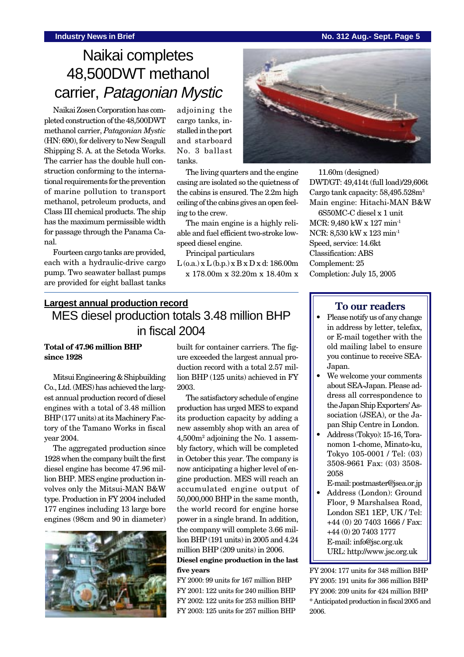### **Industry News in Brief No. 312 Aug.- Sept. Page 5**

# Naikai completes 48,500DWT methanol carrier, Patagonian Mystic

Naikai Zosen Corporation has completed construction of the 48,500DWT methanol carrier, *Patagonian Mystic* (HN: 690), for delivery to New Seagull Shipping S. A. at the Setoda Works. The carrier has the double hull construction conforming to the international requirements for the prevention of marine pollution to transport methanol, petroleum products, and Class III chemical products. The ship has the maximum permissible width for passage through the Panama Canal.

Fourteen cargo tanks are provided, each with a hydraulic-drive cargo pump. Two seawater ballast pumps are provided for eight ballast tanks

adjoining the cargo tanks, installed in the port and starboard No. 3 ballast tanks.

The living quarters and the engine casing are isolated so the quietness of the cabins is ensured. The 2.2m high ceiling of the cabins gives an open feeling to the crew.

The main engine is a highly reliable and fuel efficient two-stroke lowspeed diesel engine.

Principal particulars

 $L$  (o.a.)  $x L$  (b.p.)  $x B x D x d$ : 186.00m x 178.00m x 32.20m x 18.40m x

# **Largest annual production record** MES diesel production totals 3.48 million BHP in fiscal 2004

### **Total of 47.96 million BHP since 1928**

Mitsui Engineering & Shipbuilding Co., Ltd. (MES) has achieved the largest annual production record of diesel engines with a total of 3.48 million BHP (177 units) at its Machinery Factory of the Tamano Works in fiscal year 2004.

The aggregated production since 1928 when the company built the first diesel engine has become 47.96 million BHP. MES engine production involves only the Mitsui-MAN B&W type. Production in FY 2004 included 177 engines including 13 large bore engines (98cm and 90 in diameter)



built for container carriers. The figure exceeded the largest annual production record with a total 2.57 million BHP (125 units) achieved in FY 2003.

The satisfactory schedule of engine production has urged MES to expand its production capacity by adding a new assembly shop with an area of 4,500m2 adjoining the No. 1 assembly factory, which will be completed in October this year. The company is now anticipating a higher level of engine production. MES will reach an accumulated engine output of 50,000,000 BHP in the same month, the world record for engine horse power in a single brand. In addition, the company will complete 3.66 million BHP (191 units) in 2005 and 4.24 million BHP (209 units) in 2006.

#### **Diesel engine production in the last five years**

FY 2000: 99 units for 167 million BHP FY 2001: 122 units for 240 million BHP FY 2002: 122 units for 253 million BHP FY 2003: 125 units for 257 million BHP



11.60m (designed) DWT/GT: 49,414t (full load)/29,606t Cargo tank capacity: 58,495.528m<sup>3</sup> Main engine: Hitachi-MAN B&W 6S50MC-C diesel x 1 unit MCR: 9,480 kW x 127 min-1 NCR: 8,530 kW x 123 min-1 Speed, service: 14.6kt Classification: ABS Complement: 25 Completion: July 15, 2005

## **To our readers**

- Please notify us of any change in address by letter, telefax, or E-mail together with the old mailing label to ensure you continue to receive SEA-Japan.
- We welcome your comments about SEA-Japan. Please address all correspondence to the Japan Ship Exporters' Association (JSEA), or the Japan Ship Centre in London.
- Address (Tokyo): 15-16, Toranomon 1-chome, Minato-ku, Tokyo 105-0001 / Tel: (03) 3508-9661 Fax: (03) 3508- 2058
- E-mail: postmaster@jsea.or.jp
- Address (London): Ground Floor, 9 Marshalsea Road, London SE1 1EP, UK / Tel: +44 (0) 20 7403 1666 / Fax: +44 (0) 20 7403 1777 E-mail: info@jsc.org.uk URL: http://www.jsc.org.uk

FY 2004: 177 units for 348 million BHP FY 2005: 191 units for 366 million BHP FY 2006: 209 units for 424 million BHP \* Anticipated production in fiscal 2005 and 2006.